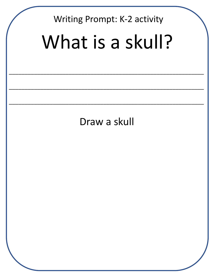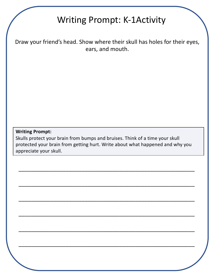# Writing Prompt: K-1Activity

Draw your friend's head. Show where their skull has holes for their eyes, ears, and mouth.

## **Writing Prompt:**

Skulls protect your brain from bumps and bruises. Think of a time your skull protected your brain from getting hurt. Write about what happened and why you appreciate your skull.

\_\_\_\_\_\_\_\_\_\_\_\_\_\_\_\_\_\_\_\_\_\_\_\_\_\_\_\_\_\_\_\_\_\_\_\_\_\_\_\_\_\_\_\_\_\_\_\_\_\_\_\_\_\_\_\_

\_\_\_\_\_\_\_\_\_\_\_\_\_\_\_\_\_\_\_\_\_\_\_\_\_\_\_\_\_\_\_\_\_\_\_\_\_\_\_\_\_\_\_\_\_\_\_\_\_\_\_\_\_\_\_\_

\_\_\_\_\_\_\_\_\_\_\_\_\_\_\_\_\_\_\_\_\_\_\_\_\_\_\_\_\_\_\_\_\_\_\_\_\_\_\_\_\_\_\_\_\_\_\_\_\_\_\_\_\_\_\_\_

\_\_\_\_\_\_\_\_\_\_\_\_\_\_\_\_\_\_\_\_\_\_\_\_\_\_\_\_\_\_\_\_\_\_\_\_\_\_\_\_\_\_\_\_\_\_\_\_\_\_\_\_\_\_\_\_

\_\_\_\_\_\_\_\_\_\_\_\_\_\_\_\_\_\_\_\_\_\_\_\_\_\_\_\_\_\_\_\_\_\_\_\_\_\_\_\_\_\_\_\_\_\_\_\_\_\_\_\_\_\_\_\_

\_\_\_\_\_\_\_\_\_\_\_\_\_\_\_\_\_\_\_\_\_\_\_\_\_\_\_\_\_\_\_\_\_\_\_\_\_\_\_\_\_\_\_\_\_\_\_\_\_\_\_\_\_\_\_\_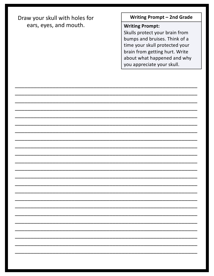Draw your skull with holes for ears, eyes, and mouth.

**Writing Prompt - 2nd Grade** 

# **Writing Prompt:**

Skulls protect your brain from bumps and bruises. Think of a time your skull protected your brain from getting hurt. Write about what happened and why you appreciate your skull.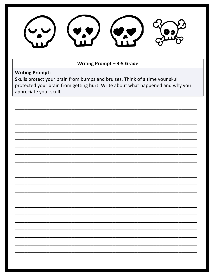

#### Writing Prompt - 3-5 Grade

## **Writing Prompt:**

Skulls protect your brain from bumps and bruises. Think of a time your skull protected your brain from getting hurt. Write about what happened and why you appreciate your skull.